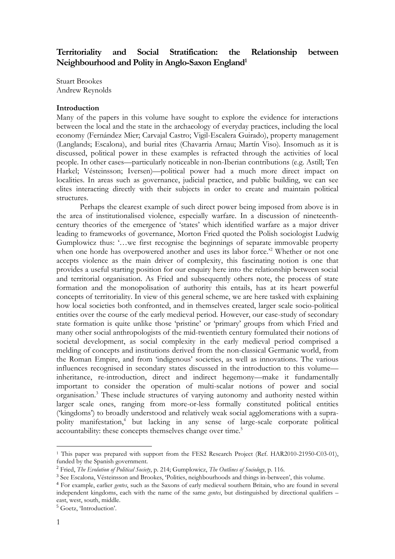# **Territoriality and Social Stratification: the Relationship between Neighbourhood and Polity in Anglo-Saxon England<sup>1</sup>**

Stuart Brookes Andrew Reynolds

### **Introduction**

Many of the papers in this volume have sought to explore the evidence for interactions between the local and the state in the archaeology of everyday practices, including the local economy (Fernández Mier; Carvajal Castro; Vigil-Escalera Guirado), property management (Langlands; Escalona), and burial rites (Chavarria Arnau; Martín Viso). Insomuch as it is discussed, political power in these examples is refracted through the activities of local people. In other cases—particularly noticeable in non-Iberian contributions (e.g. Astill; Ten Harkel; Vésteinsson; Iversen)—political power had a much more direct impact on localities. In areas such as governance, judicial practice, and public building, we can see elites interacting directly with their subjects in order to create and maintain political structures.

Perhaps the clearest example of such direct power being imposed from above is in the area of institutionalised violence, especially warfare. In a discussion of nineteenthcentury theories of the emergence of 'states' which identified warfare as a major driver leading to frameworks of governance, Morton Fried quoted the Polish sociologist Ludwig Gumplowicz thus: '…we first recognise the beginnings of separate immovable property when one horde has overpowered another and uses its labor force.<sup>22</sup> Whether or not one accepts violence as the main driver of complexity, this fascinating notion is one that provides a useful starting position for our enquiry here into the relationship between social and territorial organisation. As Fried and subsequently others note, the process of state formation and the monopolisation of authority this entails, has at its heart powerful concepts of territoriality. In view of this general scheme, we are here tasked with explaining how local societies both confronted, and in themselves created, larger scale socio-political entities over the course of the early medieval period. However, our case-study of secondary state formation is quite unlike those 'pristine' or 'primary' groups from which Fried and many other social anthropologists of the mid-twentieth century formulated their notions of societal development, as social complexity in the early medieval period comprised a melding of concepts and institutions derived from the non-classical Germanic world, from the Roman Empire, and from 'indigenous' societies, as well as innovations. The various influences recognised in secondary states discussed in the introduction to this volume inheritance, re-introduction, direct and indirect hegemony—make it fundamentally important to consider the operation of multi-scalar notions of power and social organisation.<sup>3</sup> These include structures of varying autonomy and authority nested within larger scale ones, ranging from more-or-less formally constituted political entities ('kingdoms') to broadly understood and relatively weak social agglomerations with a suprapolity manifestation,<sup>4</sup> but lacking in any sense of large-scale corporate political accountability: these concepts themselves change over time.<sup>5</sup>

<sup>&</sup>lt;sup>1</sup> This paper was prepared with support from the FES2 Research Project (Ref. HAR2010-21950-C03-01), funded by the Spanish government.

<sup>2</sup> Fried, *The Evolution of Political Society*, p. 214; Gumplowicz, *The Outlines of Sociology*, p. 116.

<sup>3</sup> See Escalona, Vésteinsson and Brookes, 'Polities, neighbourhoods and things in-between', this volume.

<sup>4</sup> For example, earlier *gentes*, such as the Saxons of early medieval southern Britain, who are found in several independent kingdoms, each with the name of the same *gentes*, but distinguished by directional qualifiers – east, west, south, middle.

<sup>&</sup>lt;sup>5</sup> Goetz, *Introduction*'.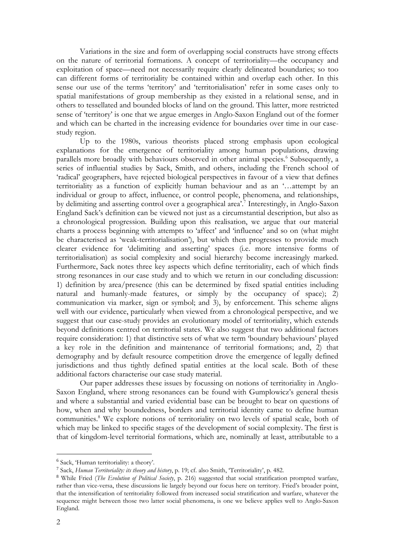Variations in the size and form of overlapping social constructs have strong effects on the nature of territorial formations. A concept of territoriality—the occupancy and exploitation of space—need not necessarily require clearly delineated boundaries; so too can different forms of territoriality be contained within and overlap each other. In this sense our use of the terms 'territory' and 'territorialisation' refer in some cases only to spatial manifestations of group membership as they existed in a relational sense, and in others to tessellated and bounded blocks of land on the ground. This latter, more restricted sense of 'territory' is one that we argue emerges in Anglo-Saxon England out of the former and which can be charted in the increasing evidence for boundaries over time in our casestudy region.

Up to the 1980s, various theorists placed strong emphasis upon ecological explanations for the emergence of territoriality among human populations, drawing parallels more broadly with behaviours observed in other animal species.<sup>6</sup> Subsequently, a series of influential studies by Sack, Smith, and others, including the French school of 'radical' geographers, have rejected biological perspectives in favour of a view that defines territoriality as a function of explicitly human behaviour and as an '…attempt by an individual or group to affect, influence, or control people, phenomena, and relationships, by delimiting and asserting control over a geographical area'.<sup>7</sup> Interestingly, in Anglo-Saxon England Sack's definition can be viewed not just as a circumstantial description, but also as a chronological progression. Building upon this realisation, we argue that our material charts a process beginning with attempts to 'affect' and 'influence' and so on (what might be characterised as 'weak-territorialisation'), but which then progresses to provide much clearer evidence for 'delimiting and asserting' spaces (i.e. more intensive forms of territorialisation) as social complexity and social hierarchy become increasingly marked. Furthermore, Sack notes three key aspects which define territoriality, each of which finds strong resonances in our case study and to which we return in our concluding discussion: 1) definition by area/presence (this can be determined by fixed spatial entities including natural and humanly-made features, or simply by the occupancy of space); 2) communication via marker, sign or symbol; and 3), by enforcement. This scheme aligns well with our evidence, particularly when viewed from a chronological perspective, and we suggest that our case-study provides an evolutionary model of territoriality, which extends beyond definitions centred on territorial states. We also suggest that two additional factors require consideration: 1) that distinctive sets of what we term 'boundary behaviours' played a key role in the definition and maintenance of territorial formations; and, 2) that demography and by default resource competition drove the emergence of legally defined jurisdictions and thus tightly defined spatial entities at the local scale. Both of these additional factors characterise our case study material.

Our paper addresses these issues by focussing on notions of territoriality in Anglo-Saxon England, where strong resonances can be found with Gumplowicz's general thesis and where a substantial and varied evidential base can be brought to bear on questions of how, when and why boundedness, borders and territorial identity came to define human communities.<sup>8</sup> We explore notions of territoriality on two levels of spatial scale, both of which may be linked to specific stages of the development of social complexity. The first is that of kingdom-level territorial formations, which are, nominally at least, attributable to a

<sup>6</sup> Sack, 'Human territoriality: a theory'.

<sup>7</sup> Sack, *Human Territoriality: its theory and history*, p. 19; cf. also Smith, 'Territoriality', p. 482.

<sup>8</sup> While Fried (*The Evolution of Political Society*, p. 216) suggested that social stratification prompted warfare, rather than vice-versa, these discussions lie largely beyond our focus here on territory. Fried's broader point, that the intensification of territoriality followed from increased social stratification and warfare, whatever the sequence might between those two latter social phenomena, is one we believe applies well to Anglo-Saxon England.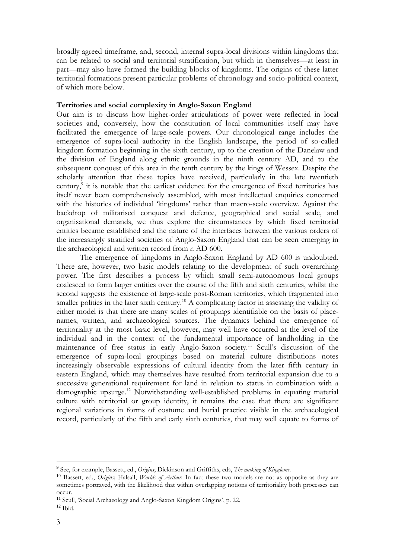broadly agreed timeframe, and, second, internal supra-local divisions within kingdoms that can be related to social and territorial stratification, but which in themselves—at least in part—may also have formed the building blocks of kingdoms. The origins of these latter territorial formations present particular problems of chronology and socio-political context, of which more below.

### **Territories and social complexity in Anglo-Saxon England**

Our aim is to discuss how higher-order articulations of power were reflected in local societies and, conversely, how the constitution of local communities itself may have facilitated the emergence of large-scale powers. Our chronological range includes the emergence of supra-local authority in the English landscape, the period of so-called kingdom formation beginning in the sixth century, up to the creation of the Danelaw and the division of England along ethnic grounds in the ninth century AD, and to the subsequent conquest of this area in the tenth century by the kings of Wessex. Despite the scholarly attention that these topics have received, particularly in the late twentieth century,<sup>9</sup> it is notable that the earliest evidence for the emergence of fixed territories has itself never been comprehensively assembled, with most intellectual enquiries concerned with the histories of individual 'kingdoms' rather than macro-scale overview. Against the backdrop of militarised conquest and defence, geographical and social scale, and organisational demands, we thus explore the circumstances by which fixed territorial entities became established and the nature of the interfaces between the various orders of the increasingly stratified societies of Anglo-Saxon England that can be seen emerging in the archaeological and written record from *c*. AD 600.

The emergence of kingdoms in Anglo-Saxon England by AD 600 is undoubted. There are, however, two basic models relating to the development of such overarching power. The first describes a process by which small semi-autonomous local groups coalesced to form larger entities over the course of the fifth and sixth centuries, whilst the second suggests the existence of large-scale post-Roman territories, which fragmented into smaller polities in the later sixth century.<sup>10</sup> A complicating factor in assessing the validity of either model is that there are many scales of groupings identifiable on the basis of placenames, written, and archaeological sources. The dynamics behind the emergence of territoriality at the most basic level, however, may well have occurred at the level of the individual and in the context of the fundamental importance of landholding in the maintenance of free status in early Anglo-Saxon society.<sup>11</sup> Scull's discussion of the emergence of supra-local groupings based on material culture distributions notes increasingly observable expressions of cultural identity from the later fifth century in eastern England, which may themselves have resulted from territorial expansion due to a successive generational requirement for land in relation to status in combination with a demographic upsurge.<sup>12</sup> Notwithstanding well-established problems in equating material culture with territorial or group identity, it remains the case that there are significant regional variations in forms of costume and burial practice visible in the archaeological record, particularly of the fifth and early sixth centuries, that may well equate to forms of

<sup>9</sup> See, for example, Bassett, ed., *Origins*; Dickinson and Griffiths, eds, *The making of Kingdoms*.

<sup>10</sup> Bassett, ed., *Origins*; Halsall, *Worlds of Arthur*. In fact these two models are not as opposite as they are sometimes portrayed, with the likelihood that within overlapping notions of territoriality both processes can occur.

<sup>11</sup> Scull, 'Social Archaeology and Anglo-Saxon Kingdom Origins', p. 22.

 $12$  Ibid.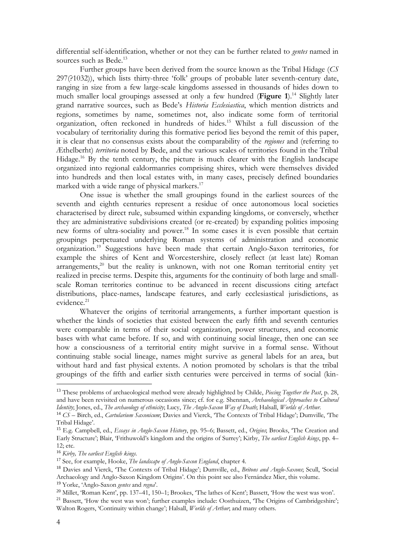differential self-identification, whether or not they can be further related to *gentes* named in sources such as Bede.<sup>13</sup>

Further groups have been derived from the source known as the Tribal Hidage (*CS* 297(?1032)), which lists thirty-three 'folk' groups of probable later seventh-century date, ranging in size from a few large-scale kingdoms assessed in thousands of hides down to much smaller local groupings assessed at only a few hundred (**Figure 1**).<sup>14</sup> Slightly later grand narrative sources, such as Bede's *Historia Ecclesiastica*, which mention districts and regions, sometimes by name, sometimes not, also indicate some form of territorial organization, often reckoned in hundreds of hides.<sup>15</sup> Whilst a full discussion of the vocabulary of territoriality during this formative period lies beyond the remit of this paper, it is clear that no consensus exists about the comparability of the *regiones* and (referring to Æthelberht) *territoria* noted by Bede, and the various scales of territories found in the Tribal Hidage.<sup>16</sup> By the tenth century, the picture is much clearer with the English landscape organized into regional ealdormanries comprising shires, which were themselves divided into hundreds and then local estates with, in many cases, precisely defined boundaries marked with a wide range of physical markers. $17$ 

One issue is whether the small groupings found in the earliest sources of the seventh and eighth centuries represent a residue of once autonomous local societies characterised by direct rule, subsumed within expanding kingdoms, or conversely, whether they are administrative subdivisions created (or re-created) by expanding polities imposing new forms of ultra-sociality and power.<sup>18</sup> In some cases it is even possible that certain groupings perpetuated underlying Roman systems of administration and economic organization.<sup>19</sup> Suggestions have been made that certain Anglo-Saxon territories, for example the shires of Kent and Worcestershire, closely reflect (at least late) Roman  $arrangements<sup>20</sup>$  but the reality is unknown, with not one Roman territorial entity yet realized in precise terms. Despite this, arguments for the continuity of both large and smallscale Roman territories continue to be advanced in recent discussions citing artefact distributions, place-names, landscape features, and early ecclesiastical jurisdictions, as evidence.<sup>21</sup>

Whatever the origins of territorial arrangements, a further important question is whether the kinds of societies that existed between the early fifth and seventh centuries were comparable in terms of their social organization, power structures, and economic bases with what came before. If so, and with continuing social lineage, then one can see how a consciousness of a territorial entity might survive in a formal sense. Without continuing stable social lineage, names might survive as general labels for an area, but without hard and fast physical extents. A notion promoted by scholars is that the tribal groupings of the fifth and earlier sixth centuries were perceived in terms of social (kin-

<sup>13</sup> These problems of archaeological method were already highlighted by Childe, *Piecing Together the Past*, p. 28, and have been revisited on numerous occasions since; cf. for e.g. Shennan, *Archaeological Approaches to Cultural Identity*; Jones, ed., *The archaeology of ethnicity*; Lucy, *The Anglo-Saxon Way of Death*; Halsall, *Worlds of Arthur.*

<sup>14</sup> *CS* – Birch, ed., *Cartularium Saxonicum*; Davies and Vierck, 'The Contexts of Tribal Hidage'; Dumville, 'The Tribal Hidage'.

<sup>15</sup> E.g. Campbell, ed., *Essays in Anglo-Saxon History*, pp. 95–6; Bassett, ed., *Origins*; Brooks, 'The Creation and Early Structure'; Blair, 'Frithuwold's kingdom and the origins of Surrey'; Kirby, *The earliest English kings*, pp. 4– 12; etc.

<sup>16</sup> *Kirby, The earliest English kings.*

<sup>17</sup> See, for example, Hooke, *The landscape of Anglo-Saxon England*, chapter 4.

<sup>18</sup> Davies and Vierck, 'The Contexts of Tribal Hidage'; Dumville, ed., *Britons and Anglo-Saxons*; Scull, 'Social Archaeology and Anglo-Saxon Kingdom Origins'. On this point see also Fernández Mier, this volume. <sup>19</sup> Yorke, 'Anglo-Saxon *gentes* and *regna*'.

<sup>20</sup> Millet, 'Roman Kent', pp. 137–41, 150–1; Brookes, 'The lathes of Kent'; Bassett, 'How the west was won'.

<sup>&</sup>lt;sup>21</sup> Bassett, 'How the west was won'; further examples include: Oosthuizen, 'The Origins of Cambridgeshire'; Walton Rogers, 'Continuity within change'; Halsall, *Worlds of Arthur*; and many others.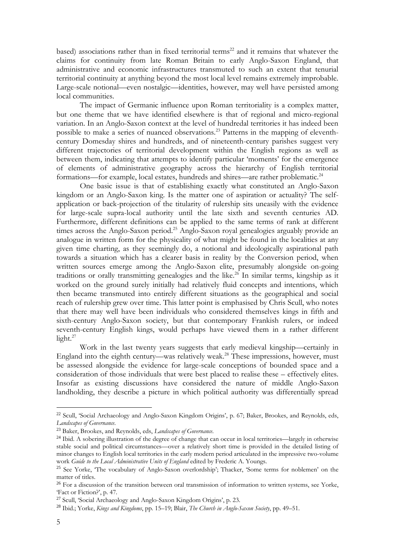based) associations rather than in fixed territorial terms<sup>22</sup> and it remains that whatever the claims for continuity from late Roman Britain to early Anglo-Saxon England, that administrative and economic infrastructures transmuted to such an extent that tenurial territorial continuity at anything beyond the most local level remains extremely improbable. Large-scale notional—even nostalgic—identities, however, may well have persisted among local communities.

The impact of Germanic influence upon Roman territoriality is a complex matter, but one theme that we have identified elsewhere is that of regional and micro-regional variation. In an Anglo-Saxon context at the level of hundredal territories it has indeed been possible to make a series of nuanced observations.<sup>23</sup> Patterns in the mapping of eleventhcentury Domesday shires and hundreds, and of nineteenth-century parishes suggest very different trajectories of territorial development within the English regions as well as between them, indicating that attempts to identify particular 'moments' for the emergence of elements of administrative geography across the hierarchy of English territorial formations—for example, local estates, hundreds and shires—are rather problematic.<sup>24</sup>

One basic issue is that of establishing exactly what constituted an Anglo-Saxon kingdom or an Anglo-Saxon king. Is the matter one of aspiration or actuality? The selfapplication or back-projection of the titularity of rulership sits uneasily with the evidence for large-scale supra-local authority until the late sixth and seventh centuries AD. Furthermore, different definitions can be applied to the same terms of rank at different times across the Anglo-Saxon period.<sup>25</sup> Anglo-Saxon royal genealogies arguably provide an analogue in written form for the physicality of what might be found in the localities at any given time charting, as they seemingly do, a notional and ideologically aspirational path towards a situation which has a clearer basis in reality by the Conversion period, when written sources emerge among the Anglo-Saxon elite, presumably alongside on-going traditions or orally transmitting genealogies and the like.<sup>26</sup> In similar terms, kingship as it worked on the ground surely initially had relatively fluid concepts and intentions, which then became transmuted into entirely different situations as the geographical and social reach of rulership grew over time. This latter point is emphasised by Chris Scull, who notes that there may well have been individuals who considered themselves kings in fifth and sixth-century Anglo-Saxon society, but that contemporary Frankish rulers, or indeed seventh-century English kings, would perhaps have viewed them in a rather different light.<sup>27</sup>

Work in the last twenty years suggests that early medieval kingship—certainly in England into the eighth century—was relatively weak.<sup>28</sup> These impressions, however, must be assessed alongside the evidence for large-scale conceptions of bounded space and a consideration of those individuals that were best placed to realise these – effectively elites. Insofar as existing discussions have considered the nature of middle Anglo-Saxon landholding, they describe a picture in which political authority was differentially spread

<sup>22</sup> Scull, 'Social Archaeology and Anglo-Saxon Kingdom Origins', p. 67; Baker, Brookes, and Reynolds, eds, *Landscapes of Governance*.

<sup>23</sup> Baker, Brookes, and Reynolds, eds, *Landscapes of Governance*.

<sup>&</sup>lt;sup>24</sup> Ibid. A sobering illustration of the degree of change that can occur in local territories—largely in otherwise stable social and political circumstances—over a relatively short time is provided in the detailed listing of minor changes to English local territories in the early modern period articulated in the impressive two-volume work *Guide to the Local Administrative Units of England* edited by Frederic A. Youngs.

<sup>25</sup> See Yorke, 'The vocabulary of Anglo-Saxon overlordship'; Thacker, 'Some terms for noblemen' on the matter of titles.

<sup>&</sup>lt;sup>26</sup> For a discussion of the transition between oral transmission of information to written systems, see Yorke, 'Fact or Fiction?', p. 47.

<sup>27</sup> Scull, 'Social Archaeology and Anglo-Saxon Kingdom Origins', p. 23.

<sup>28</sup> Ibid.; Yorke, *Kings and Kingdoms*, pp. 15–19; Blair, *The Church in Anglo-Saxon Society*, pp. 49–51.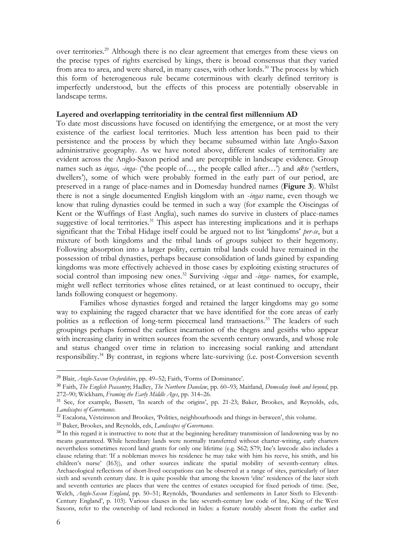over territories.<sup>29</sup> Although there is no clear agreement that emerges from these views on the precise types of rights exercised by kings, there is broad consensus that they varied from area to area, and were shared, in many cases, with other lords.<sup>30</sup> The process by which this form of heterogeneous rule became coterminous with clearly defined territory is imperfectly understood, but the effects of this process are potentially observable in landscape terms.

#### **Layered and overlapping territoriality in the central first millennium AD**

To date most discussions have focused on identifying the emergence, or at most the very existence of the earliest local territories. Much less attention has been paid to their persistence and the process by which they became subsumed within late Anglo-Saxon administrative geography. As we have noted above, different scales of territoriality are evident across the Anglo-Saxon period and are perceptible in landscape evidence. Group names such as *ingas, -inga-* ('the people of…, the people called after…') and *sǣte* ('settlers, dwellers'), some of which were probably formed in the early part of our period, are preserved in a range of place-names and in Domesday hundred names (**Figure 3**). Whilst there is not a single documented English kingdom with an -*ingas* name, even though we know that ruling dynasties could be termed in such a way (for example the Oiscingas of Kent or the Wuffings of East Anglia), such names do survive in clusters of place-names suggestive of local territories.<sup>31</sup> This aspect has interesting implications and it is perhaps significant that the Tribal Hidage itself could be argued not to list 'kingdoms' *per-se*, but a mixture of both kingdoms and the tribal lands of groups subject to their hegemony. Following absorption into a larger polity, certain tribal lands could have remained in the possession of tribal dynasties, perhaps because consolidation of lands gained by expanding kingdoms was more effectively achieved in those cases by exploiting existing structures of social control than imposing new ones.<sup>32</sup> Surviving -ingas and -inga- names, for example, might well reflect territories whose elites retained, or at least continued to occupy, their lands following conquest or hegemony.

Families whose dynasties forged and retained the larger kingdoms may go some way to explaining the ragged character that we have identified for the core areas of early polities as a reflection of long-term piecemeal land transactions.<sup>33</sup> The leaders of such groupings perhaps formed the earliest incarnation of the thegns and gesiths who appear with increasing clarity in written sources from the seventh century onwards, and whose role and status changed over time in relation to increasing social ranking and attendant responsibility.<sup>34</sup> By contrast, in regions where late-surviving (i.e. post-Conversion seventh

<sup>29</sup> Blair, *Anglo-Saxon Oxfordshire*, pp. 49–52; Faith, 'Forms of Dominance'.

<sup>30</sup> Faith, *The English Peasantry*; Hadley, *The Northern Danelaw*, pp. 60–93; Maitland, *Domesday book and beyond*, pp. 272–90; Wickham, *Framing the Early Middle Ages*, pp. 314–26.

<sup>&</sup>lt;sup>31</sup> See, for example, Bassett, 'In search of the origins', pp. 21-23; Baker, Brookes, and Reynolds, eds, *Landscapes of Governance*.

<sup>&</sup>lt;sup>32</sup> Escalona, Vésteinsson and Brookes, 'Polities, neighbourhoods and things in-between', this volume.

<sup>33</sup> Baker, Brookes, and Reynolds, eds, *Landscapes of Governance*.

<sup>&</sup>lt;sup>34</sup> In this regard it is instructive to note that at the beginning hereditary transmission of landowning was by no means guaranteed. While hereditary lands were normally transferred without charter-writing, early charters nevertheless sometimes record land grants for only one lifetime (e.g. S62; S79; Ine's lawcode also includes a clause relating that: 'If a nobleman moves his residence he may take with him his reeve, his smith, and his children's nurse' (I63)), and other sources indicate the spatial mobility of seventh-century elites. Archaeological reflections of short-lived occupations can be observed at a range of sites, particularly of later sixth and seventh century date. It is quite possible that among the known 'elite' residences of the later sixth and seventh centuries are places that were the centres of estates occupied for fixed periods of time. (See, Welch, *Anglo-Saxon England*, pp. 50–51; Reynolds, 'Boundaries and settlements in Later Sixth to Eleventh-Century England', p. 103). Various clauses in the late seventh-century law code of Ine, King of the West Saxons, refer to the ownership of land reckoned in hides: a feature notably absent from the earlier and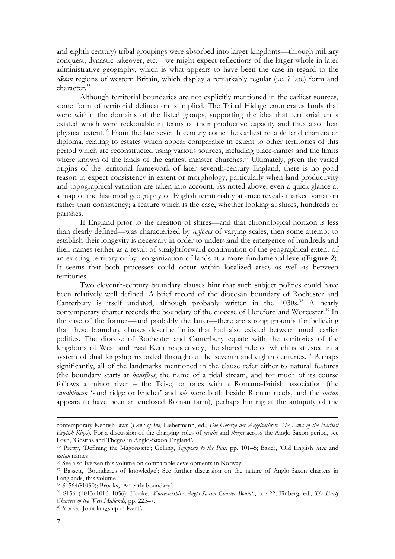and eighth century) tribal groupings were absorbed into larger kingdoms—through military conquest, dynastic takeover, etc.—we might expect reflections of the larger whole in later administrative geography, which is what appears to have been the case in regard to the *sǣtan* regions of western Britain, which display a remarkably regular (i.e. ? late) form and character.<sup>35</sup>

Although territorial boundaries are not explicitly mentioned in the earliest sources, some form of territorial delineation is implied. The Tribal Hidage enumerates lands that were within the domains of the listed groups, supporting the idea that territorial units existed which were reckonable in terms of their productive capacity and thus also their physical extent.<sup>36</sup> From the late seventh century come the earliest reliable land charters or diploma, relating to estates which appear comparable in extent to other territories of this period which are reconstructed using various sources, including place-names and the limits where known of the lands of the earliest minster churches.<sup>37</sup> Ultimately, given the varied origins of the territorial framework of later seventh-century England, there is no good reason to expect consistency in extent or morphology, particularly when land productivity and topographical variation are taken into account. As noted above, even a quick glance at a map of the historical geography of English territoriality at once reveals marked variation rather than consistency; a feature which is the case, whether looking at shires, hundreds or parishes.

If England prior to the creation of shires—and that chronological horizon is less than clearly defined—was characterized by *regiones* of varying scales, then some attempt to establish their longevity is necessary in order to understand the emergence of hundreds and their names (either as a result of straightforward continuation of the geographical extent of an existing territory or by reorganization of lands at a more fundamental level)(**Figure 2**). It seems that both processes could occur within localized areas as well as between territories.

Two eleventh-century boundary clauses hint that such subject polities could have been relatively well defined. A brief record of the diocesan boundary of Rochester and Canterbury is itself undated, although probably written in the  $1030s$ <sup>38</sup> A nearly contemporary charter records the boundary of the diocese of Hereford and Worcester.<sup>39</sup> In the case of the former—and probably the latter—there are strong grounds for believing that these boundary clauses describe limits that had also existed between much earlier polities. The diocese of Rochester and Canterbury equate with the territories of the kingdoms of West and East Kent respectively, the shared rule of which is attested in a system of dual kingship recorded throughout the seventh and eighth centuries.<sup>40</sup> Perhaps significantly, all of the landmarks mentioned in the clause refer either to natural features (the boundary starts at *hansfleot*, the name of a tidal stream, and for much of its course follows a minor river – the Teise) or ones with a Romano-British association (the *sandhlincan* 'sand ridge or lynchet' and *wic* were both beside Roman roads, and the *cortan* appears to have been an enclosed Roman farm), perhaps hinting at the antiquity of the

contemporary Kentish laws (*Laws of Ine*, Liebermann, ed., *Die Gesetze der Angelsachsen*; *The Laws of the Earliest English Kings*). For a discussion of the changing roles of *gesiths* and *thegns* across the Anglo-Saxon period, see Loyn, 'Gesiths and Thegns in Anglo-Saxon England'.

<sup>35</sup> Pretty, 'Defining the Magonsæte'; Gelling, *Signposts to the Past*, pp. 101–5; Baker, 'Old English *sǣta* and *sǣtan* names'.

<sup>36</sup> See also Iversen this volume on comparable developments in Norway

<sup>37</sup> Bassett, 'Boundaries of knowledge'; See further discussion on the nature of Anglo-Saxon charters in Langlands, this volume

<sup>38</sup> S1564(?1030); Brooks, 'An early boundary'.

<sup>39</sup> S1561(1013x1016–1056); Hooke, *Worcestershire Anglo-Saxon Charter Bounds*, p. 422; Finberg, ed., *The Early Charters of the West Midlands*, pp. 225–7.

<sup>40</sup> Yorke, 'Joint kingship in Kent'.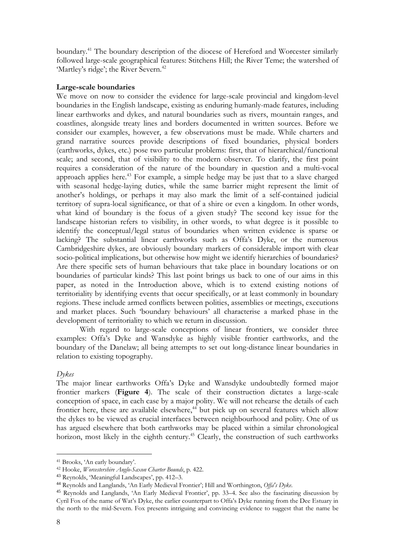boundary.<sup>41</sup> The boundary description of the diocese of Hereford and Worcester similarly followed large-scale geographical features: Stitchens Hill; the River Teme; the watershed of 'Martley's ridge'; the River Severn.<sup>42</sup>

## **Large-scale boundaries**

We move on now to consider the evidence for large-scale provincial and kingdom-level boundaries in the English landscape, existing as enduring humanly-made features, including linear earthworks and dykes, and natural boundaries such as rivers, mountain ranges, and coastlines, alongside treaty lines and borders documented in written sources. Before we consider our examples, however, a few observations must be made. While charters and grand narrative sources provide descriptions of fixed boundaries, physical borders (earthworks, dykes, etc.) pose two particular problems: first, that of hierarchical/functional scale; and second, that of visibility to the modern observer. To clarify, the first point requires a consideration of the nature of the boundary in question and a multi-vocal approach applies here.<sup>43</sup> For example, a simple hedge may be just that to a slave charged with seasonal hedge-laying duties, while the same barrier might represent the limit of another's holdings, or perhaps it may also mark the limit of a self-contained judicial territory of supra-local significance, or that of a shire or even a kingdom. In other words, what kind of boundary is the focus of a given study? The second key issue for the landscape historian refers to visibility, in other words, to what degree is it possible to identify the conceptual/legal status of boundaries when written evidence is sparse or lacking? The substantial linear earthworks such as Offa's Dyke, or the numerous Cambridgeshire dykes, are obviously boundary markers of considerable import with clear socio-political implications, but otherwise how might we identify hierarchies of boundaries? Are there specific sets of human behaviours that take place in boundary locations or on boundaries of particular kinds? This last point brings us back to one of our aims in this paper, as noted in the Introduction above, which is to extend existing notions of territoriality by identifying events that occur specifically, or at least commonly in boundary regions. These include armed conflicts between polities, assemblies or meetings, executions and market places. Such 'boundary behaviours' all characterise a marked phase in the development of territoriality to which we return in discussion.

With regard to large-scale conceptions of linear frontiers, we consider three examples: Offa's Dyke and Wansdyke as highly visible frontier earthworks, and the boundary of the Danelaw; all being attempts to set out long-distance linear boundaries in relation to existing topography.

## *Dykes*

The major linear earthworks Offa's Dyke and Wansdyke undoubtedly formed major frontier markers (**Figure 4**). The scale of their construction dictates a large-scale conception of space, in each case by a major polity. We will not rehearse the details of each frontier here, these are available elsewhere,<sup>44</sup> but pick up on several features which allow the dykes to be viewed as crucial interfaces between neighbourhood and polity. One of us has argued elsewhere that both earthworks may be placed within a similar chronological horizon, most likely in the eighth century.<sup>45</sup> Clearly, the construction of such earthworks

<sup>41</sup> Brooks, 'An early boundary'.

<sup>42</sup> Hooke, *Worcestershire Anglo-Saxon Charter Bounds*, p. 422.

<sup>43</sup> Reynolds, 'Meaningful Landscapes', pp. 412–3.

<sup>44</sup> Reynolds and Langlands, 'An Early Medieval Frontier'; Hill and Worthington, *Offa's Dyke*.

<sup>45</sup> Reynolds and Langlands, 'An Early Medieval Frontier', pp. 33–4. See also the fascinating discussion by Cyril Fox of the name of Wat's Dyke, the earlier counterpart to Offa's Dyke running from the Dee Estuary in the north to the mid-Severn. Fox presents intriguing and convincing evidence to suggest that the name be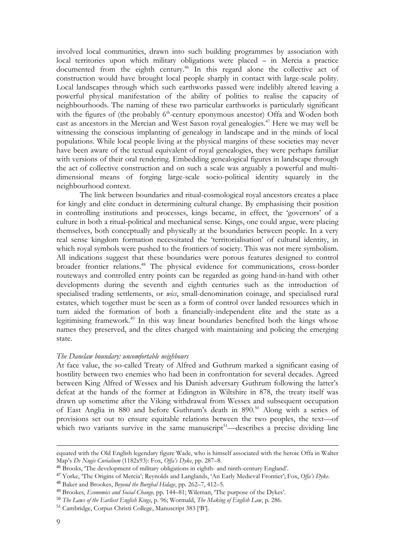involved local communities, drawn into such building programmes by association with local territories upon which military obligations were placed – in Mercia a practice documented from the eighth century.<sup>46</sup> In this regard alone the collective act of construction would have brought local people sharply in contact with large-scale polity. Local landscapes through which such earthworks passed were indelibly altered leaving a powerful physical manifestation of the ability of polities to realise the capacity of neighbourhoods. The naming of these two particular earthworks is particularly significant with the figures of (the probably 6<sup>th</sup>-century eponymous ancestor) Offa and Woden both cast as ancestors in the Mercian and West Saxon royal genealogies.<sup>47</sup> Here we may well be witnessing the conscious implanting of genealogy in landscape and in the minds of local populations. While local people living at the physical margins of these societies may never have been aware of the textual equivalent of royal genealogies, they were perhaps familiar with versions of their oral rendering. Embedding genealogical figures in landscape through the act of collective construction and on such a scale was arguably a powerful and multidimensional means of forging large-scale socio-political identity squarely in the neighbourhood context.

The link between boundaries and ritual-cosmological royal ancestors creates a place for kingly and elite conduct in determining cultural change. By emphasising their position in controlling institutions and processes, kings became, in effect, the 'governors' of a culture in both a ritual-political and mechanical sense. Kings, one could argue, were placing themselves, both conceptually and physically at the boundaries between people. In a very real sense kingdom formation necessitated the 'territorialisation' of cultural identity, in which royal symbols were pushed to the frontiers of society. This was not mere symbolism. All indications suggest that these boundaries were porous features designed to control broader frontier relations.<sup>48</sup> The physical evidence for communications, cross-border routeways and controlled entry points can be regarded as going hand-in-hand with other developments during the seventh and eighth centuries such as the introduction of specialised trading settlements, or *wics*, small-denomination coinage, and specialised rural estates, which together must be seen as a form of control over landed resources which in turn aided the formation of both a financially-independent elite and the state as a legitimising framework.<sup>49</sup> In this way linear boundaries benefited both the kings whose names they preserved, and the elites charged with maintaining and policing the emerging state.

### *The Danelaw boundary: uncomfortable neighbours*

At face value, the so-called Treaty of Alfred and Guthrum marked a significant easing of hostility between two enemies who had been in confrontation for several decades. Agreed between King Alfred of Wessex and his Danish adversary Guthrum following the latter's defeat at the hands of the former at Edington in Wiltshire in 878, the treaty itself was drawn up sometime after the Viking withdrawal from Wessex and subsequent occupation of East Anglia in 880 and before Guthrum's death in 890.<sup>50</sup> Along with a series of provisions set out to ensure equitable relations between the two peoples, the text—of which two variants survive in the same manuscript<sup>51</sup>—describes a precise dividing line

equated with the Old English legendary figure Wade, who is himself associated with the heroic Offa in Walter Map's *De Nugis Curialium* (1182x93): Fox, *Offa's Dyke*, pp. 287–8.

<sup>46</sup> Brooks, 'The development of military obligations in eighth- and ninth-century England'.

<sup>47</sup> Yorke, 'The Origins of Mercia'; Reynolds and Langlands, 'An Early Medieval Frontier'; Fox, *Offa's Dyke*.

<sup>48</sup> Baker and Brookes, *Beyond the Burghal Hidage*, pp. 262–7, 412–5.

<sup>49</sup> Brookes, *Economics and Social Change,* pp. 144–81; Wileman, 'The purpose of the Dykes'.

<sup>50</sup> *The Laws of the Earliest English Kings*, p. 96; Wormald, *The Making of English Law*, p. 286.

<sup>51</sup> Cambridge, Corpus Christi College, Manuscript 383 ['B'].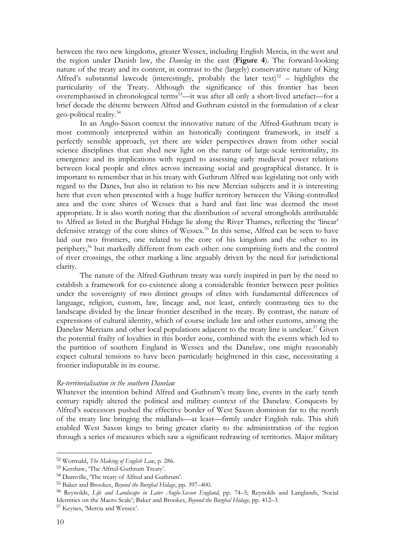between the two new kingdoms, greater Wessex, including English Mercia, in the west and the region under Danish law, the *Danelag* in the east (**Figure 4**). The forward-looking nature of the treaty and its content, in contrast to the (largely) conservative nature of King Alfred's substantial lawcode (interestingly, probably the later text)<sup>52</sup> – highlights the particularity of the Treaty. Although the significance of this frontier has been overemphasised in chronological terms<sup>53</sup>—it was after all only a short-lived artefact—for a brief decade the détente between Alfred and Guthrum existed in the formulation of a clear geo-political reality.<sup>54</sup>

In an Anglo-Saxon context the innovative nature of the Alfred-Guthrum treaty is most commonly interpreted within an historically contingent framework, in itself a perfectly sensible approach, yet there are wider perspectives drawn from other social science disciplines that can shed new light on the nature of large-scale territoriality, its emergence and its implications with regard to assessing early medieval power relations between local people and elites across increasing social and geographical distance. It is important to remember that in his treaty with Guthrum Alfred was legislating not only with regard to the Danes, but also in relation to his new Mercian subjects and it is interesting here that even when presented with a huge buffer territory between the Viking-controlled area and the core shires of Wessex that a hard and fast line was deemed the most appropriate. It is also worth noting that the distribution of several strongholds attributable to Alfred as listed in the Burghal Hidage lie along the River Thames, reflecting the 'linear' defensive strategy of the core shires of Wessex.<sup>55</sup> In this sense, Alfred can be seen to have laid out two frontiers, one related to the core of his kingdom and the other to its periphery,<sup>56</sup> but markedly different from each other: one comprising forts and the control of river crossings, the other marking a line arguably driven by the need for jurisdictional clarity.

The nature of the Alfred-Guthrum treaty was surely inspired in part by the need to establish a framework for co-existence along a considerable frontier between peer polities under the sovereignty of two distinct groups of elites with fundamental differences of language, religion, custom, law, lineage and, not least, entirely contrasting ties to the landscape divided by the linear frontier described in the treaty. By contrast, the nature of expressions of cultural identity, which of course include law and other customs, among the Danelaw Mercians and other local populations adjacent to the treaty line is unclear.<sup>57</sup> Given the potential frailty of loyalties in this border zone, combined with the events which led to the partition of southern England in Wessex and the Danelaw, one might reasonably expect cultural tensions to have been particularly heightened in this case, necessitating a frontier indisputable in its course.

### *Re-territorialisation in the southern Danelaw*

Whatever the intention behind Alfred and Guthrum's treaty line, events in the early tenth century rapidly altered the political and military context of the Danelaw. Conquests by Alfred's successors pushed the effective border of West Saxon dominion far to the north of the treaty line bringing the midlands—at least—firmly under English rule. This shift enabled West Saxon kings to bring greater clarity to the administration of the region through a series of measures which saw a significant redrawing of territories. Major military

<sup>52</sup> Wormald, *The Making of English Law*, p. 286.

<sup>53</sup> Kershaw, 'The Alfred-Guthrum Treaty'.

<sup>54</sup> Dumville, 'The treaty of Alfred and Guthrum'.

<sup>55</sup> Baker and Brookes, *Beyond the Burghal Hidage*, pp. 397–400.

<sup>56</sup> Reynolds, *Life and Landscape in Later Anglo-Saxon England,* pp. 74–5; Reynolds and Langlands, 'Social Identities on the Macro Scale'; Baker and Brookes, *Beyond the Burghal Hidage*, pp. 412–3.

<sup>57</sup> Keynes, 'Mercia and Wessex'.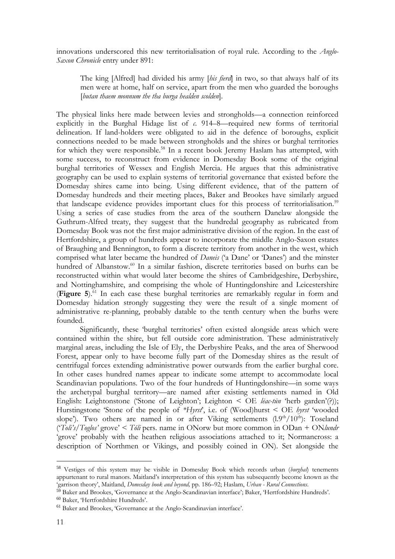innovations underscored this new territorialisation of royal rule. According to the *Anglo-Saxon Chronicle* entry under 891:

The king [Alfred] had divided his army [*his fierd*] in two, so that always half of its men were at home, half on service, apart from the men who guarded the boroughs [*butan thaem monnum the tha burga healden scolden*].

The physical links here made between levies and strongholds—a connection reinforced explicitly in the Burghal Hidage list of *c*. 914–8—required new forms of territorial delineation. If land-holders were obligated to aid in the defence of boroughs, explicit connections needed to be made between strongholds and the shires or burghal territories for which they were responsible.<sup>58</sup> In a recent book Jeremy Haslam has attempted, with some success, to reconstruct from evidence in Domesday Book some of the original burghal territories of Wessex and English Mercia. He argues that this administrative geography can be used to explain systems of territorial governance that existed before the Domesday shires came into being. Using different evidence, that of the pattern of Domesday hundreds and their meeting places, Baker and Brookes have similarly argued that landscape evidence provides important clues for this process of territorialisation.<sup>59</sup> Using a series of case studies from the area of the southern Danelaw alongside the Guthrum-Alfred treaty, they suggest that the hundredal geography as rubricated from Domesday Book was not the first major administrative division of the region. In the east of Hertfordshire, a group of hundreds appear to incorporate the middle Anglo-Saxon estates of Braughing and Bennington, to form a discrete territory from another in the west, which comprised what later became the hundred of *Daneis* ('a Dane' or 'Danes') and the minster hundred of Albanstow.<sup>60</sup> In a similar fashion, discrete territories based on burhs can be reconstructed within what would later become the shires of Cambridgeshire, Derbyshire, and Nottinghamshire, and comprising the whole of Huntingdonshire and Leicestershire (**Figure 5**). <sup>61</sup> In each case these burghal territories are remarkably regular in form and Domesday hidation strongly suggesting they were the result of a single moment of administrative re-planning, probably datable to the tenth century when the burhs were founded.

Significantly, these 'burghal territories' often existed alongside areas which were contained within the shire, but fell outside core administration. These administratively marginal areas, including the Isle of Ely, the Derbyshire Peaks, and the area of Sherwood Forest, appear only to have become fully part of the Domesday shires as the result of centrifugal forces extending administrative power outwards from the earlier burghal core. In other cases hundred names appear to indicate some attempt to accommodate local Scandinavian populations. Two of the four hundreds of Huntingdonshire—in some ways the archetypal burghal territory—are named after existing settlements named in Old English: Leightonstone ('Stone of Leighton'; Leighton < OE *lēac-tūn* 'herb garden'(?)); Hurstingstone 'Stone of the people of *\*Hyrst*', i.e. of (Wood)hurst < OE *hyrst* 'wooded slope'). Two others are named in or after Viking settlements  $(1.9<sup>th</sup>/10<sup>th</sup>)$ : Toseland ('*Toli's/Toglos'* grove' < *Tóli* pers. name in ONorw but more common in ODan + ON*lundr* 'grove' probably with the heathen religious associations attached to it; Normancross: a description of Northmen or Vikings, and possibly coined in ON). Set alongside the

<sup>58</sup> Vestiges of this system may be visible in Domesday Book which records urban (*burghal*) tenements appurtenant to rural manors. Maitland's interpretation of this system has subsequently become known as the 'garrison theory', Maitland, *Domesday book and beyond,* pp. 186–92; Haslam, *Urban - Rural Connections*.

<sup>59</sup> Baker and Brookes, 'Governance at the Anglo-Scandinavian interface'; Baker, 'Hertfordshire Hundreds'.

<sup>60</sup> Baker, 'Hertfordshire Hundreds'.

<sup>61</sup> Baker and Brookes, 'Governance at the Anglo-Scandinavian interface'.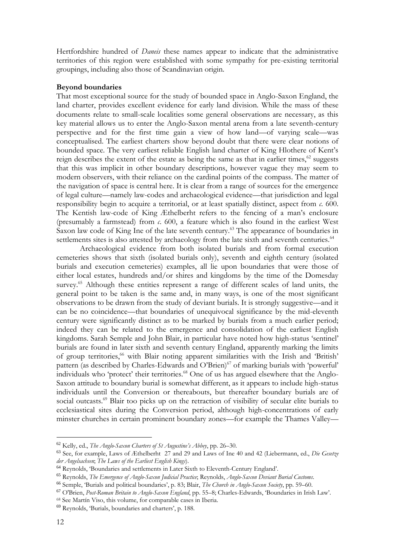Hertfordshire hundred of *Daneis* these names appear to indicate that the administrative territories of this region were established with some sympathy for pre-existing territorial groupings, including also those of Scandinavian origin.

### **Beyond boundaries**

That most exceptional source for the study of bounded space in Anglo-Saxon England, the land charter, provides excellent evidence for early land division. While the mass of these documents relate to small-scale localities some general observations are necessary, as this key material allows us to enter the Anglo-Saxon mental arena from a late seventh-century perspective and for the first time gain a view of how land—of varying scale—was conceptualised. The earliest charters show beyond doubt that there were clear notions of bounded space. The very earliest reliable English land charter of King Hlothere of Kent's reign describes the extent of the estate as being the same as that in earlier times.<sup>62</sup> suggests that this was implicit in other boundary descriptions, however vague they may seem to modern observers, with their reliance on the cardinal points of the compass. The matter of the navigation of space is central here. It is clear from a range of sources for the emergence of legal culture—namely law-codes and archaeological evidence—that jurisdiction and legal responsibility begin to acquire a territorial, or at least spatially distinct, aspect from *c*. 600. The Kentish law-code of King Æthelberht refers to the fencing of a man's enclosure (presumably a farmstead) from *c*. 600, a feature which is also found in the earliest West Saxon law code of King Ine of the late seventh century.<sup>63</sup> The appearance of boundaries in settlements sites is also attested by archaeology from the late sixth and seventh centuries.<sup>64</sup>

Archaeological evidence from both isolated burials and from formal execution cemeteries shows that sixth (isolated burials only), seventh and eighth century (isolated burials and execution cemeteries) examples, all lie upon boundaries that were those of either local estates, hundreds and/or shires and kingdoms by the time of the Domesday survey.<sup>65</sup> Although these entities represent a range of different scales of land units, the general point to be taken is the same and, in many ways, is one of the most significant observations to be drawn from the study of deviant burials. It is strongly suggestive—and it can be no coincidence—that boundaries of unequivocal significance by the mid-eleventh century were significantly distinct as to be marked by burials from a much earlier period; indeed they can be related to the emergence and consolidation of the earliest English kingdoms. Sarah Semple and John Blair, in particular have noted how high-status 'sentinel' burials are found in later sixth and seventh century England, apparently marking the limits of group territories,<sup>66</sup> with Blair noting apparent similarities with the Irish and 'British' pattern (as described by Charles-Edwards and O'Brien)<sup>67</sup> of marking burials with 'powerful' individuals who 'protect' their territories.<sup>68</sup> One of us has argued elsewhere that the Anglo-Saxon attitude to boundary burial is somewhat different, as it appears to include high-status individuals until the Conversion or thereabouts, but thereafter boundary burials are of social outcasts.<sup>69</sup> Blair too picks up on the retraction of visibility of secular elite burials to ecclesiastical sites during the Conversion period, although high-concentrations of early minster churches in certain prominent boundary zones—for example the Thames Valley—

<sup>62</sup> Kelly, ed., *The Anglo-Saxon Charters of St Augustine's Abbey*, pp. 26–30.

<sup>63</sup> See, for example, Laws of Æthelberht 27 and 29 and Laws of Ine 40 and 42 (Liebermann, ed., *Die Gesetze der Angelsachsen*; *The Laws of the Earliest English Kings*).

<sup>64</sup> Reynolds, 'Boundaries and settlements in Later Sixth to Eleventh-Century England'.

<sup>65</sup> Reynolds, *The Emergence of Anglo-Saxon Judicial Practice*; Reynolds, *Anglo-Saxon Deviant Burial Customs*.

<sup>66</sup> Semple, 'Burials and political boundaries', p. 83; Blair, *The Church in Anglo-Saxon Society*, pp. 59–60.

<sup>67</sup> O'Brien, *Post-Roman Britain to Anglo-Saxon England*, pp. 55–8; Charles-Edwards, 'Boundaries in Irish Law'.

<sup>68</sup> See Martín Viso, this volume, for comparable cases in Iberia.

<sup>69</sup> Reynolds, 'Burials, boundaries and charters', p. 188.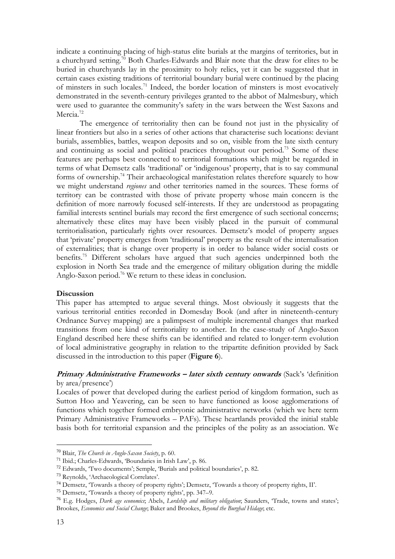indicate a continuing placing of high-status elite burials at the margins of territories, but in a churchyard setting.<sup>70</sup> Both Charles-Edwards and Blair note that the draw for elites to be buried in churchyards lay in the proximity to holy relics, yet it can be suggested that in certain cases existing traditions of territorial boundary burial were continued by the placing of minsters in such locales.<sup>71</sup> Indeed, the border location of minsters is most evocatively demonstrated in the seventh-century privileges granted to the abbot of Malmesbury, which were used to guarantee the community's safety in the wars between the West Saxons and Mercia<sup>72</sup>

The emergence of territoriality then can be found not just in the physicality of linear frontiers but also in a series of other actions that characterise such locations: deviant burials, assemblies, battles, weapon deposits and so on, visible from the late sixth century and continuing as social and political practices throughout our period.<sup>73</sup> Some of these features are perhaps best connected to territorial formations which might be regarded in terms of what Demsetz calls 'traditional' or 'indigenous' property, that is to say communal forms of ownership.<sup>74</sup> Their archaeological manifestation relates therefore squarely to how we might understand *regiones* and other territories named in the sources. These forms of territory can be contrasted with those of private property whose main concern is the definition of more narrowly focused self-interests. If they are understood as propagating familial interests sentinel burials may record the first emergence of such sectional concerns; alternatively these elites may have been visibly placed in the pursuit of communal territorialisation, particularly rights over resources. Demsetz's model of property argues that 'private' property emerges from 'traditional' property as the result of the internalisation of externalities; that is change over property is in order to balance wider social costs or benefits.<sup>75</sup> Different scholars have argued that such agencies underpinned both the explosion in North Sea trade and the emergence of military obligation during the middle Anglo-Saxon period.<sup>76</sup> We return to these ideas in conclusion.

## **Discussion**

This paper has attempted to argue several things. Most obviously it suggests that the various territorial entities recorded in Domesday Book (and after in nineteenth-century Ordnance Survey mapping) are a palimpsest of multiple incremental changes that marked transitions from one kind of territoriality to another. In the case-study of Anglo-Saxon England described here these shifts can be identified and related to longer-term evolution of local administrative geography in relation to the tripartite definition provided by Sack discussed in the introduction to this paper (**Figure 6**).

## **Primary Administrative Frameworks – later sixth century onwards** (Sack's 'definition by area/presence')

Locales of power that developed during the earliest period of kingdom formation, such as Sutton Hoo and Yeavering, can be seen to have functioned as loose agglomerations of functions which together formed embryonic administrative networks (which we here term Primary Administrative Frameworks – PAFs). These heartlands provided the initial stable basis both for territorial expansion and the principles of the polity as an association. We

<sup>70</sup> Blair, *The Church in Anglo-Saxon Society*, p. 60.

<sup>71</sup> Ibid.; Charles-Edwards, 'Boundaries in Irish Law', p. 86.

<sup>72</sup> Edwards, 'Two documents'; Semple, 'Burials and political boundaries', p. 82.

<sup>73</sup> Reynolds, 'Archaeological Correlates'.

<sup>74</sup> Demsetz, 'Towards a theory of property rights'; Demsetz, 'Towards a theory of property rights, II'.

<sup>75</sup> Demsetz, 'Towards a theory of property rights', pp. 347–9.

<sup>76</sup> E.g. Hodges, *Dark age economics*; Abels, *Lordship and military obligation*; Saunders, 'Trade, towns and states'; Brookes, *Economics and Social Change*; Baker and Brookes, *Beyond the Burghal Hidage*; etc.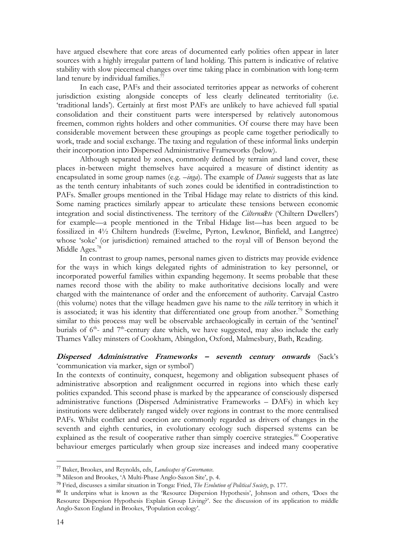have argued elsewhere that core areas of documented early polities often appear in later sources with a highly irregular pattern of land holding. This pattern is indicative of relative stability with slow piecemeal changes over time taking place in combination with long-term land tenure by individual families. $\frac{77}{2}$ 

In each case, PAFs and their associated territories appear as networks of coherent jurisdiction existing alongside concepts of less clearly delineated territoriality (i.e. 'traditional lands'). Certainly at first most PAFs are unlikely to have achieved full spatial consolidation and their constituent parts were interspersed by relatively autonomous freemen, common rights holders and other communities. Of course there may have been considerable movement between these groupings as people came together periodically to work, trade and social exchange. The taxing and regulation of these informal links underpin their incorporation into Dispersed Administrative Frameworks (below).

Although separated by zones, commonly defined by terrain and land cover, these places in-between might themselves have acquired a measure of distinct identity as encapsulated in some group names (e.g. –*inga*). The example of *Daneis* suggests that as late as the tenth century inhabitants of such zones could be identified in contradistinction to PAFs. Smaller groups mentioned in the Tribal Hidage may relate to districts of this kind. Some naming practices similarly appear to articulate these tensions between economic integration and social distinctiveness. The territory of the *Cilterns* $\bar{\alpha}$ *te* ('Chiltern Dwellers') for example—a people mentioned in the Tribal Hidage list—has been argued to be fossilized in 4½ Chiltern hundreds (Ewelme, Pyrton, Lewknor, Binfield, and Langtree) whose 'soke' (or jurisdiction) remained attached to the royal vill of Benson beyond the Middle Ages.<sup>78</sup>

In contrast to group names, personal names given to districts may provide evidence for the ways in which kings delegated rights of administration to key personnel, or incorporated powerful families within expanding hegemony. It seems probable that these names record those with the ability to make authoritative decisions locally and were charged with the maintenance of order and the enforcement of authority. Carvajal Castro (this volume) notes that the village headmen gave his name to the *villa* territory in which it is associated; it was his identity that differentiated one group from another.<sup>79</sup> Something similar to this process may well be observable archaeologically in certain of the 'sentinel' burials of  $6<sup>th</sup>$ - and  $7<sup>th</sup>$ -century date which, we have suggested, may also include the early Thames Valley minsters of Cookham, Abingdon, Oxford, Malmesbury, Bath, Reading.

## **Dispersed Administrative Frameworks – seventh century onwards** (Sack's 'communication via marker, sign or symbol')

In the contexts of continuity, conquest, hegemony and obligation subsequent phases of administrative absorption and realignment occurred in regions into which these early polities expanded. This second phase is marked by the appearance of consciously dispersed administrative functions (Dispersed Administrative Frameworks – DAFs) in which key institutions were deliberately ranged widely over regions in contrast to the more centralised PAFs. Whilst conflict and coercion are commonly regarded as drivers of changes in the seventh and eighth centuries, in evolutionary ecology such dispersed systems can be explained as the result of cooperative rather than simply coercive strategies.<sup>80</sup> Cooperative behaviour emerges particularly when group size increases and indeed many cooperative

<sup>77</sup> Baker, Brookes, and Reynolds, eds, *Landscapes of Governance*.

<sup>78</sup> Mileson and Brookes, 'A Multi-Phase Anglo-Saxon Site', p. 4.

<sup>79</sup> Fried, discusses a similar situation in Tonga: Fried, *The Evolution of Political Society*, p. 177.

<sup>80</sup> It underpins what is known as the 'Resource Dispersion Hypothesis', Johnson and others, 'Does the Resource Dispersion Hypothesis Explain Group Living?'. See the discussion of its application to middle Anglo-Saxon England in Brookes, 'Population ecology'.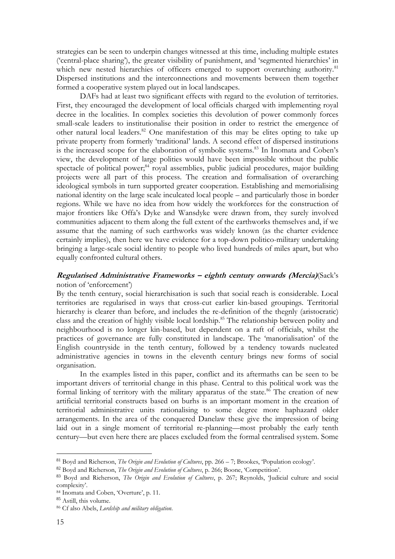strategies can be seen to underpin changes witnessed at this time, including multiple estates ('central-place sharing'), the greater visibility of punishment, and 'segmented hierarchies' in which new nested hierarchies of officers emerged to support overarching authority.<sup>81</sup> Dispersed institutions and the interconnections and movements between them together formed a cooperative system played out in local landscapes.

DAFs had at least two significant effects with regard to the evolution of territories. First, they encouraged the development of local officials charged with implementing royal decree in the localities. In complex societies this devolution of power commonly forces small-scale leaders to institutionalise their position in order to restrict the emergence of other natural local leaders.<sup>82</sup> One manifestation of this may be elites opting to take up private property from formerly 'traditional' lands. A second effect of dispersed institutions is the increased scope for the elaboration of symbolic systems.<sup>83</sup> In Inomata and Coben's view, the development of large polities would have been impossible without the public spectacle of political power;<sup>84</sup> royal assemblies, public judicial procedures, major building projects were all part of this process. The creation and formalisation of overarching ideological symbols in turn supported greater cooperation. Establishing and memorialising national identity on the large scale inculcated local people – and particularly those in border regions. While we have no idea from how widely the workforces for the construction of major frontiers like Offa's Dyke and Wansdyke were drawn from, they surely involved communities adjacent to them along the full extent of the earthworks themselves and, if we assume that the naming of such earthworks was widely known (as the charter evidence certainly implies), then here we have evidence for a top-down politico-military undertaking bringing a large-scale social identity to people who lived hundreds of miles apart, but who equally confronted cultural others.

## **Regularised Administrative Frameworks – eighth century onwards (Mercia)**(Sack's notion of 'enforcement')

By the tenth century, social hierarchisation is such that social reach is considerable. Local territories are regularised in ways that cross-cut earlier kin-based groupings. Territorial hierarchy is clearer than before, and includes the re-definition of the thegnly (aristocratic) class and the creation of highly visible local lordship.<sup>85</sup> The relationship between polity and neighbourhood is no longer kin-based, but dependent on a raft of officials, whilst the practices of governance are fully constituted in landscape. The 'manorialisation' of the English countryside in the tenth century, followed by a tendency towards nucleated administrative agencies in towns in the eleventh century brings new forms of social organisation.

In the examples listed in this paper, conflict and its aftermaths can be seen to be important drivers of territorial change in this phase. Central to this political work was the formal linking of territory with the military apparatus of the state.<sup>86</sup> The creation of new artificial territorial constructs based on burhs is an important moment in the creation of territorial administrative units rationalising to some degree more haphazard older arrangements. In the area of the conquered Danelaw these give the impression of being laid out in a single moment of territorial re-planning—most probably the early tenth century—but even here there are places excluded from the formal centralised system. Some

<sup>81</sup> Boyd and Richerson, *The Origin and Evolution of Cultures*, pp. 266 – 7; Brookes, 'Population ecology'.

<sup>82</sup> Boyd and Richerson, *The Origin and Evolution of Cultures*, p. 266; Boone, 'Competition'.

<sup>83</sup> Boyd and Richerson, *The Origin and Evolution of Cultures*, p. 267; Reynolds, 'Judicial culture and social complexity'.

<sup>84</sup> Inomata and Coben, 'Overture', p. 11.

<sup>85</sup> Astill, this volume.

<sup>86</sup> Cf also Abels, *Lordship and military obligation*.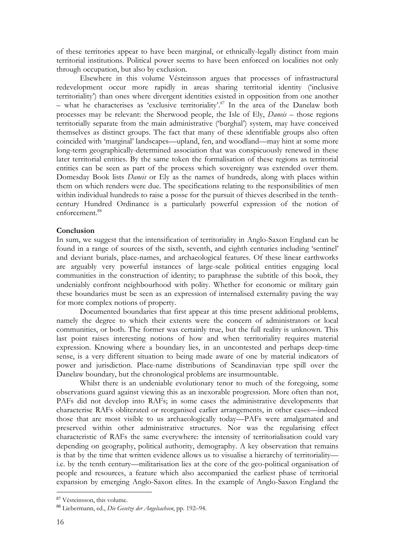of these territories appear to have been marginal, or ethnically-legally distinct from main territorial institutions. Political power seems to have been enforced on localities not only through occupation, but also by exclusion.

Elsewhere in this volume Vésteinsson argues that processes of infrastructural redevelopment occur more rapidly in areas sharing territorial identity ('inclusive territoriality') than ones where divergent identities existed in opposition from one another  $-$  what he characterises as 'exclusive territoriality'.<sup>87</sup> In the area of the Danelaw both processes may be relevant: the Sherwood people, the Isle of Ely, *Daneis* – those regions territorially separate from the main administrative ('burghal') system, may have conceived themselves as distinct groups. The fact that many of these identifiable groups also often coincided with 'marginal' landscapes—upland, fen, and woodland—may hint at some more long-term geographically-determined association that was conspicuously renewed in these later territorial entities. By the same token the formalisation of these regions as territorial entities can be seen as part of the process which sovereignty was extended over them. Domesday Book lists *Daneis* or Ely as the names of hundreds, along with places within them on which renders were due. The specifications relating to the responsibilities of men within individual hundreds to raise a posse for the pursuit of thieves described in the tenthcentury Hundred Ordinance is a particularly powerful expression of the notion of enforcement.<sup>88</sup>

### **Conclusion**

In sum, we suggest that the intensification of territoriality in Anglo-Saxon England can be found in a range of sources of the sixth, seventh, and eighth centuries including 'sentinel' and deviant burials, place-names, and archaeological features. Of these linear earthworks are arguably very powerful instances of large-scale political entities engaging local communities in the construction of identity; to paraphrase the subtitle of this book, they undeniably confront neighbourhood with polity. Whether for economic or military gain these boundaries must be seen as an expression of internalised externality paving the way for more complex notions of property.

Documented boundaries that first appear at this time present additional problems, namely the degree to which their extents were the concern of administrators or local communities, or both. The former was certainly true, but the full reality is unknown. This last point raises interesting notions of how and when territoriality requires material expression. Knowing where a boundary lies, in an uncontested and perhaps deep-time sense, is a very different situation to being made aware of one by material indicators of power and jurisdiction. Place-name distributions of Scandinavian type spill over the Danelaw boundary, but the chronological problems are insurmountable.

Whilst there is an undeniable evolutionary tenor to much of the foregoing, some observations guard against viewing this as an inexorable progression. More often than not, PAFs did not develop into RAFs; in some cases the administrative developments that characterise RAFs obliterated or reorganised earlier arrangements, in other cases—indeed those that are most visible to us archaeologically today—PAFs were amalgamated and preserved within other administrative structures. Nor was the regularising effect characteristic of RAFs the same everywhere: the intensity of territorialisation could vary depending on geography, political authority, demography. A key observation that remains is that by the time that written evidence allows us to visualise a hierarchy of territoriality i.e. by the tenth century—militarisation lies at the core of the geo-political organisation of people and resources, a feature which also accompanied the earliest phase of territorial expansion by emerging Anglo-Saxon elites. In the example of Anglo-Saxon England the

<sup>87</sup> Vésteinsson, this volume.

<sup>88</sup> Liebermann, ed., *Die Gesetze der Angelsachsen*, pp. 192–94.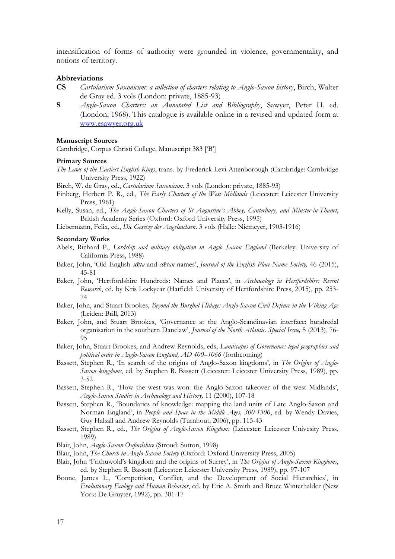intensification of forms of authority were grounded in violence, governmentality, and notions of territory.

#### **Abbreviations**

- **CS** *Cartularium Saxonicum: a collection of charters relating to Anglo-Saxon history*, Birch, Walter de Gray ed. 3 vols (London: private, 1885-93)
- **S** *Anglo-Saxon Charters: an Annotated List and Bibliography*, Sawyer, Peter H. ed. (London, 1968). This catalogue is available online in a revised and updated form at [www.esawyer.org.uk](http://www.esawyer.org.uk/)

#### **Manuscript Sources**

Cambridge, Corpus Christi College, Manuscript 383 ['B']

#### **Primary Sources**

*The Laws of the Earliest English Kings*, trans. by Frederick Levi Attenborough (Cambridge: Cambridge University Press, 1922)

Birch, W. de Gray, ed., *Cartularium Saxonicum*. 3 vols (London: private, 1885-93)

- Finberg, Herbert P. R., ed., *The Early Charters of the West Midlands* (Leicester: Leicester University Press, 1961)
- Kelly, Susan, ed., *The Anglo-Saxon Charters of St Augustine's Abbey, Canterbury, and Minster-in-Thanet*, British Academy Series (Oxford: Oxford University Press, 1995)
- Liebermann, Felix, ed., *Die Gesetze der Angelsachsen*. 3 vols (Halle: Niemeyer, 1903-1916)

#### **Secondary Works**

- Abels, Richard P., *Lordship and military obligation in Anglo Saxon England* (Berkeley: University of California Press, 1988)
- Baker, John, 'Old English *sǣta* and *sǣtan* names', *Journal of the English Place-Name Society,* 46 (2015), 45-81
- Baker, John, 'Hertfordshire Hundreds: Names and Places', in *Archaeology in Hertfordshire: Recent Research*, ed. by Kris Lockyear (Hatfield: University of Hertfordshire Press, 2015), pp. 253- 74
- Baker, John, and Stuart Brookes, *Beyond the Burghal Hidage: Anglo-Saxon Civil Defence in the Viking Age* (Leiden: Brill, 2013)
- Baker, John, and Stuart Brookes, 'Governance at the Anglo-Scandinavian interface: hundredal organisation in the southern Danelaw', *Journal of the North Atlantic. Special Issue,* 5 (2013), 76- 95
- Baker, John, Stuart Brookes, and Andrew Reynolds, eds, *Landscapes of Governance: legal geographies and political order in Anglo-Saxon England, AD 400–1066* (forthcoming)
- Bassett, Stephen R., 'In search of the origins of Anglo-Saxon kingdoms', in *The Origins of Anglo-Saxon kingdoms*, ed. by Stephen R. Bassett (Leicester: Leicester University Press, 1989), pp. 3-52
- Bassett, Stephen R., 'How the west was won: the Anglo-Saxon takeover of the west Midlands', *Anglo-Saxon Studies in Archaeology and History,* 11 (2000), 107-18
- Bassett, Stephen R., 'Boundaries of knowledge: mapping the land units of Late Anglo-Saxon and Norman England', in *People and Space in the Middle Ages, 300-1300*, ed. by Wendy Davies, Guy Halsall and Andrew Reynolds (Turnhout, 2006), pp. 115-43
- Bassett, Stephen R., ed., *The Origins of Anglo-Saxon Kingdoms* (Leicester: Leicester Univesity Press, 1989)

Blair, John, *Anglo-Saxon Oxfordshire* (Stroud: Sutton, 1998)

- Blair, John, *The Church in Anglo-Saxon Society* (Oxford: Oxford University Press, 2005)
- Blair, John 'Frithuwold's kingdom and the origins of Surrey', in *The Origins of Anglo-Saxon Kingdoms*, ed. by Stephen R. Bassett (Leicester: Leicester University Press, 1989), pp. 97-107
- Boone, James L., 'Competition, Conflict, and the Development of Social Hierarchies', in *Evolutionary Ecology and Human Behavior*, ed. by Eric A. Smith and Bruce Winterhalder (New York: De Gruyter, 1992), pp. 301-17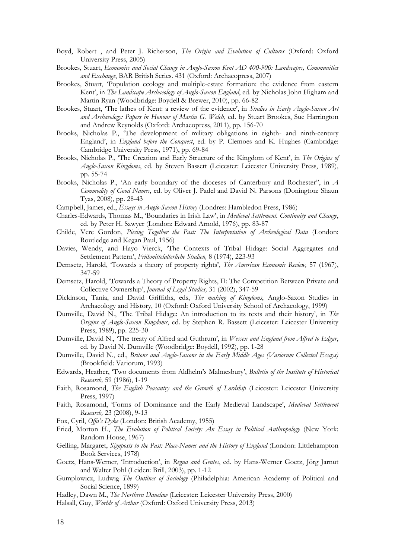- Boyd, Robert , and Peter J. Richerson, *The Origin and Evolution of Cultures* (Oxford: Oxford University Press, 2005)
- Brookes, Stuart, *Economics and Social Change in Anglo-Saxon Kent AD 400-900: Landscapes, Communities and Exchange*, BAR British Series. 431 (Oxford: Archaeopress, 2007)
- Brookes, Stuart, 'Population ecology and multiple-estate formation: the evidence from eastern Kent', in *The Landscape Archaeology of Anglo-Saxon England*, ed. by Nicholas John Higham and Martin Ryan (Woodbridge: Boydell & Brewer, 2010), pp. 66-82
- Brookes, Stuart, 'The lathes of Kent: a review of the evidence', in *Studies in Early Anglo-Saxon Art and Archaeology: Papers in Honour of Martin G. Welch*, ed. by Stuart Brookes, Sue Harrington and Andrew Reynolds (Oxford: Archaeopress, 2011), pp. 156-70
- Brooks, Nicholas P., 'The development of military obligations in eighth- and ninth-century England', in *England before the Conquest*, ed. by P. Clemoes and K. Hughes (Cambridge: Cambridge University Press, 1971), pp. 69-84
- Brooks, Nicholas P., 'The Creation and Early Structure of the Kingdom of Kent', in *The Origins of Anglo-Saxon Kingdoms*, ed. by Steven Bassett (Leicester: Leicester University Press, 1989), pp. 55-74
- Brooks, Nicholas P., 'An early boundary of the dioceses of Canterbury and Rochester'', in *A Commodity of Good Names*, ed. by Oliver J. Padel and David N. Parsons (Donington: Shaun Tyas, 2008), pp. 28-43
- Campbell, James, ed., *Essays in Anglo-Saxon History* (Londres: Hambledon Press, 1986)
- Charles-Edwards, Thomas M., 'Boundaries in Irish Law', in *Medieval Settlement. Continuity and Change*, ed. by Peter H. Sawyer (London: Edward Arnold, 1976), pp. 83-87
- Childe, Vere Gordon, *Piecing Together the Past: The Interpretation of Archeological Data* (London: Routledge and Kegan Paul, 1956)
- Davies, Wendy, and Hayo Vierck, 'The Contexts of Tribal Hidage: Social Aggregates and Settlement Pattern', *Frühmittelalterliche Studien,* 8 (1974), 223-93
- Demsetz, Harold, 'Towards a theory of property rights', *The American Economic Review,* 57 (1967), 347-59
- Demsetz, Harold, 'Towards a Theory of Property Rights, II: The Competition Between Private and Collective Ownership', *Journal of Legal Studies,* 31 (2002), 347-59
- Dickinson, Tania, and David Griffiths, eds, *The making of Kingdoms*, Anglo-Saxon Studies in Archaeology and History, 10 (Oxford: Oxford University School of Archaeology, 1999)
- Dumville, David N., 'The Tribal Hidage: An introduction to its texts and their history', in *The Origins of Anglo-Saxon Kingdoms*, ed. by Stephen R. Bassett (Leicester: Leicester University Press, 1989), pp. 225-30
- Dumville, David N., 'The treaty of Alfred and Guthrum', in *Wessex and England from Alfred to Edgar*, ed. by David N. Dumville (Woodbridge: Boydell, 1992), pp. 1-28
- Dumville, David N., ed., *Britons and Anglo-Saxons in the Early Middle Ages (Variorum Collected Essays)* (Brookfield: Variorum, 1993)
- Edwards, Heather, 'Two documents from Aldhelm's Malmesbury', *Bulletin of the Institute of Historical Research,* 59 (1986), 1-19
- Faith, Rosamond, *The English Peasantry and the Growth of Lordship* (Leicester: Leicester University Press, 1997)
- Faith, Rosamond, 'Forms of Dominance and the Early Medieval Landscape', *Medieval Settlement Research,* 23 (2008), 9-13
- Fox, Cyril, *Offa's Dyke* (London: British Academy, 1955)
- Fried, Morton H., *The Evolution of Political Society: An Essay in Political Anthropology* (New York: Random House, 1967)
- Gelling, Margaret, *Signposts to the Past: Place-Names and the History of England* (London: Littlehampton Book Services, 1978)
- Goetz, Hans-Werner, 'Introduction', in *Regna and Gentes*, ed. by Hans-Werner Goetz, Jörg Jarnut and Walter Pohl (Leiden: Brill, 2003), pp. 1-12
- Gumplowicz, Ludwig *The Outlines of Sociology* (Philadelphia: American Academy of Political and Social Science, 1899)
- Hadley, Dawn M., *The Northern Danelaw* (Leicester: Leicester University Press, 2000)
- Halsall, Guy, *Worlds of Arthur* (Oxford: Oxford University Press, 2013)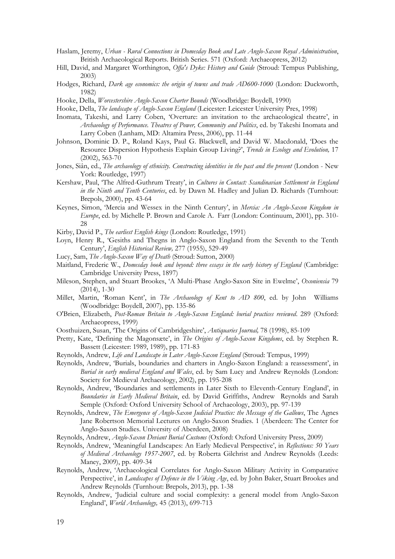- Haslam, Jeremy, *Urban - Rural Connections in Domesday Book and Late Anglo-Saxon Royal Administration*, British Archaeological Reports. British Series. 571 (Oxford: Archaeopress, 2012)
- Hill, David, and Margaret Worthington, *Offa's Dyke: History and Guide* (Stroud: Tempus Publishing, 2003)
- Hodges, Richard, *Dark age economics: the origin of towns and trade AD600-1000* (London: Duckworth, 1982)
- Hooke, Della, *Worcestershire Anglo-Saxon Charter Bounds* (Woodbridge: Boydell, 1990)
- Hooke, Della, *The landscape of Anglo-Saxon England* (Leicester: Leicester University Pres, 1998)
- Inomata, Takeshi, and Larry Coben, 'Overture: an invitation to the archaeological theatre', in *Archaeology of Performance. Theatres of Power, Community and Politics*, ed. by Takeshi Inomata and Larry Coben (Lanham, MD: Altamira Press, 2006), pp. 11-44
- Johnson, Dominic D. P., Roland Kays, Paul G. Blackwell, and David W. Macdonald, 'Does the Resource Dispersion Hypothesis Explain Group Living?', *Trends in Ecology and Evolution,* 17 (2002), 563-70
- Jones, Siân, ed., *The archaeology of ethnicity. Constructing identities in the past and the present* (London New York: Routledge, 1997)
- Kershaw, Paul, 'The Alfred-Guthrum Treaty', in *Cultures in Contact: Scandinavian Settlement in England in the Ninth and Tenth Centuries*, ed. by Dawn M. Hadley and Julian D. Richards (Turnhout: Brepols, 2000), pp. 43-64
- Keynes, Simon, 'Mercia and Wessex in the Ninth Century', in *Mercia: An Anglo-Saxon Kingdom in Europe*, ed. by Michelle P. Brown and Carole A. Farr (London: Continuum, 2001), pp. 310- 28
- Kirby, David P., *The earliest English kings* (London: Routledge, 1991)
- Loyn, Henry R., 'Gesiths and Thegns in Anglo-Saxon England from the Seventh to the Tenth Century', *English Historical Review,* 277 (1955), 529-49
- Lucy, Sam, *The Anglo-Saxon Way of Death* (Stroud: Sutton, 2000)
- Maitland, Frederic W., *Domesday book and beyond: three essays in the early history of England* (Cambridge: Cambridge University Press, 1897)
- Mileson, Stephen, and Stuart Brookes, 'A Multi-Phase Anglo-Saxon Site in Ewelme', *Oxoniensia* 79 (2014), 1-30
- Millet, Martin, 'Roman Kent', in *The Archaeology of Kent to AD 800*, ed. by John Williams (Woodbridge: Boydell, 2007), pp. 135-86
- O'Brien, Elizabeth, *Post-Roman Britain to Anglo-Saxon England: burial practices reviewed*. 289 (Oxford: Archaeopress, 1999)
- Oosthuizen, Susan, 'The Origins of Cambridgeshire', *Antiquaries Journal,* 78 (1998), 85-109
- Pretty, Kate, 'Defining the Magonsæte', in *The Origins of Anglo-Saxon Kingdoms*, ed. by Stephen R. Bassett (Leicester: 1989, 1989), pp. 171-83
- Reynolds, Andrew, *Life and Landscape in Later Anglo-Saxon England* (Stroud: Tempus, 1999)
- Reynolds, Andrew, 'Burials, boundaries and charters in Anglo-Saxon England: a reassessment', in *Burial in early medieval England and Wales*, ed. by Sam Lucy and Andrew Reynolds (London: Society for Medieval Archaeology, 2002), pp. 195-208
- Reynolds, Andrew, 'Boundaries and settlements in Later Sixth to Eleventh-Century England', in *Boundaries in Early Medieval Britain*, ed. by David Griffiths, Andrew Reynolds and Sarah Semple (Oxford: Oxford University School of Archaeology, 2003), pp. 97-139
- Reynolds, Andrew, *The Emergence of Anglo-Saxon Judicial Practice: the Message of the Gallows*, The Agnes Jane Robertson Memorial Lectures on Anglo-Saxon Studies. 1 (Aberdeen: The Center for Anglo-Saxon Studies. University of Aberdeen, 2008)
- Reynolds, Andrew, *Anglo-Saxon Deviant Burial Customs* (Oxford: Oxford University Press, 2009)
- Reynolds, Andrew, 'Meaningful Landscapes: An Early Medieval Perspective', in *Reflections: 50 Years of Medieval Archaeology 1957-2007*, ed. by Roberta Gilchrist and Andrew Reynolds (Leeds: Maney, 2009), pp. 409-34
- Reynolds, Andrew, 'Archaeological Correlates for Anglo-Saxon Military Activity in Comparative Perspective', in *Landscapes of Defence in the Viking Age*, ed. by John Baker, Stuart Brookes and Andrew Reynolds (Turnhout: Brepols, 2013), pp. 1-38
- Reynolds, Andrew, 'Judicial culture and social complexity: a general model from Anglo-Saxon England', *World Archaeology,* 45 (2013), 699-713